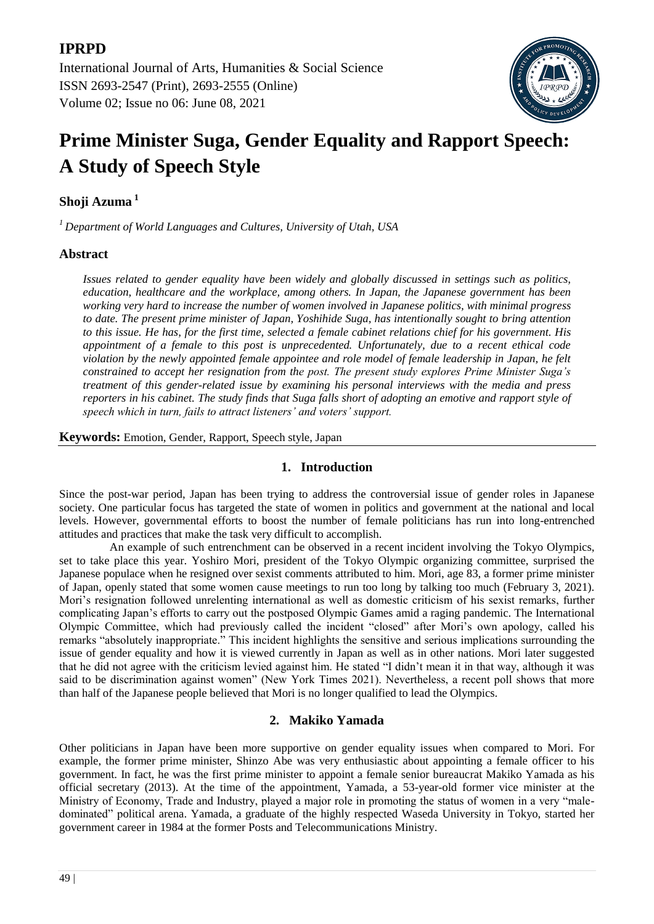## **IPRPD**

International Journal of Arts, Humanities & Social Science ISSN 2693-2547 (Print), 2693-2555 (Online) Volume 02; Issue no 06: June 08, 2021



# **Prime Minister Suga, Gender Equality and Rapport Speech: A Study of Speech Style**

## **Shoji Azuma <sup>1</sup>**

*<sup>1</sup>Department of World Languages and Cultures, University of Utah, USA*

## **Abstract**

*Issues related to gender equality have been widely and globally discussed in settings such as politics, education, healthcare and the workplace, among others. In Japan, the Japanese government has been working very hard to increase the number of women involved in Japanese politics, with minimal progress to date. The present prime minister of Japan, Yoshihide Suga, has intentionally sought to bring attention to this issue. He has, for the first time, selected a female cabinet relations chief for his government. His appointment of a female to this post is unprecedented. Unfortunately, due to a recent ethical code violation by the newly appointed female appointee and role model of female leadership in Japan, he felt constrained to accept her resignation from the post. The present study explores Prime Minister Suga's treatment of this gender-related issue by examining his personal interviews with the media and press reporters in his cabinet. The study finds that Suga falls short of adopting an emotive and rapport style of speech which in turn, fails to attract listeners' and voters' support.* 

**Keywords:** Emotion, Gender, Rapport, Speech style, Japan

## **1. Introduction**

Since the post-war period, Japan has been trying to address the controversial issue of gender roles in Japanese society. One particular focus has targeted the state of women in politics and government at the national and local levels. However, governmental efforts to boost the number of female politicians has run into long-entrenched attitudes and practices that make the task very difficult to accomplish.

An example of such entrenchment can be observed in a recent incident involving the Tokyo Olympics, set to take place this year. Yoshiro Mori, president of the Tokyo Olympic organizing committee, surprised the Japanese populace when he resigned over sexist comments attributed to him. Mori, age 83, a former prime minister of Japan, openly stated that some women cause meetings to run too long by talking too much (February 3, 2021). Mori's resignation followed unrelenting international as well as domestic criticism of his sexist remarks, further complicating Japan's efforts to carry out the postposed Olympic Games amid a raging pandemic. The International Olympic Committee, which had previously called the incident "closed" after Mori's own apology, called his remarks "absolutely inappropriate." This incident highlights the sensitive and serious implications surrounding the issue of gender equality and how it is viewed currently in Japan as well as in other nations. Mori later suggested that he did not agree with the criticism levied against him. He stated "I didn't mean it in that way, although it was said to be discrimination against women" (New York Times 2021). Nevertheless, a recent poll shows that more than half of the Japanese people believed that Mori is no longer qualified to lead the Olympics.

## **2. Makiko Yamada**

Other politicians in Japan have been more supportive on gender equality issues when compared to Mori. For example, the former prime minister, Shinzo Abe was very enthusiastic about appointing a female officer to his government. In fact, he was the first prime minister to appoint a female senior bureaucrat Makiko Yamada as his official secretary (2013). At the time of the appointment, Yamada, a 53-year-old former vice minister at the Ministry of Economy, Trade and Industry, played a major role in promoting the status of women in a very "maledominated" political arena. Yamada, a graduate of the highly respected Waseda University in Tokyo, started her government career in 1984 at the former Posts and Telecommunications Ministry.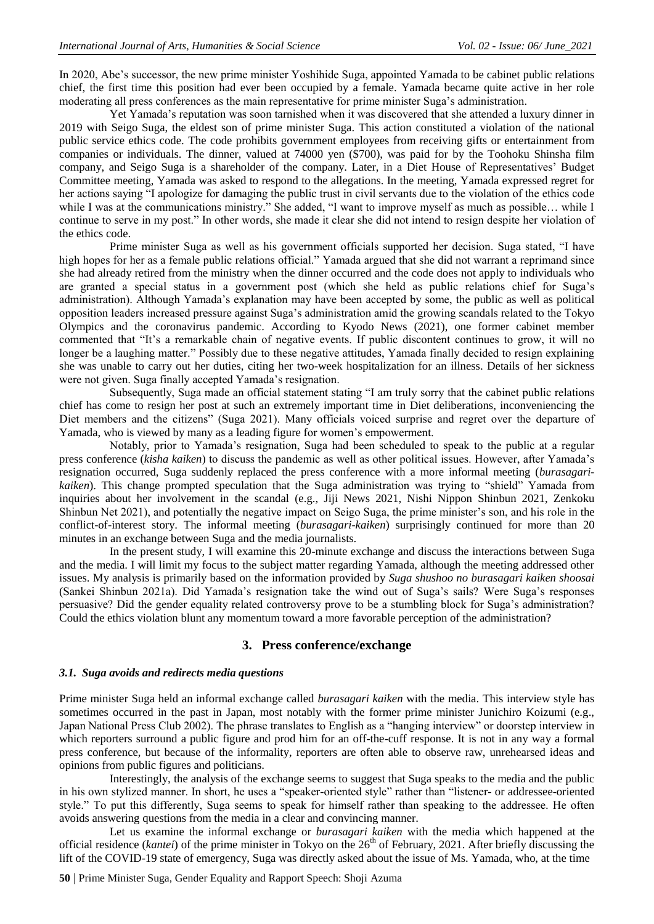In 2020, Abe's successor, the new prime minister Yoshihide Suga, appointed Yamada to be cabinet public relations chief, the first time this position had ever been occupied by a female. Yamada became quite active in her role moderating all press conferences as the main representative for prime minister Suga's administration.

Yet Yamada's reputation was soon tarnished when it was discovered that she attended a luxury dinner in 2019 with Seigo Suga, the eldest son of prime minister Suga. This action constituted a violation of the national public service ethics code. The code prohibits government employees from receiving gifts or entertainment from companies or individuals. The dinner, valued at 74000 yen (\$700), was paid for by the Toohoku Shinsha film company, and Seigo Suga is a shareholder of the company. Later, in a Diet House of Representatives' Budget Committee meeting, Yamada was asked to respond to the allegations. In the meeting, Yamada expressed regret for her actions saying "I apologize for damaging the public trust in civil servants due to the violation of the ethics code while I was at the communications ministry." She added, "I want to improve myself as much as possible... while I continue to serve in my post." In other words, she made it clear she did not intend to resign despite her violation of the ethics code.

Prime minister Suga as well as his government officials supported her decision. Suga stated, "I have high hopes for her as a female public relations official." Yamada argued that she did not warrant a reprimand since she had already retired from the ministry when the dinner occurred and the code does not apply to individuals who are granted a special status in a government post (which she held as public relations chief for Suga's administration). Although Yamada's explanation may have been accepted by some, the public as well as political opposition leaders increased pressure against Suga's administration amid the growing scandals related to the Tokyo Olympics and the coronavirus pandemic. According to Kyodo News (2021), one former cabinet member commented that "It's a remarkable chain of negative events. If public discontent continues to grow, it will no longer be a laughing matter." Possibly due to these negative attitudes, Yamada finally decided to resign explaining she was unable to carry out her duties, citing her two-week hospitalization for an illness. Details of her sickness were not given. Suga finally accepted Yamada's resignation.

Subsequently, Suga made an official statement stating "I am truly sorry that the cabinet public relations chief has come to resign her post at such an extremely important time in Diet deliberations, inconveniencing the Diet members and the citizens" (Suga 2021). Many officials voiced surprise and regret over the departure of Yamada, who is viewed by many as a leading figure for women's empowerment.

Notably, prior to Yamada's resignation, Suga had been scheduled to speak to the public at a regular press conference (*kisha kaiken*) to discuss the pandemic as well as other political issues. However, after Yamada's resignation occurred, Suga suddenly replaced the press conference with a more informal meeting (*burasagarikaiken*). This change prompted speculation that the Suga administration was trying to "shield" Yamada from inquiries about her involvement in the scandal (e.g., Jiji News 2021, Nishi Nippon Shinbun 2021, Zenkoku Shinbun Net 2021), and potentially the negative impact on Seigo Suga, the prime minister's son, and his role in the conflict-of-interest story. The informal meeting (*burasagari-kaiken*) surprisingly continued for more than 20 minutes in an exchange between Suga and the media journalists.

In the present study, I will examine this 20-minute exchange and discuss the interactions between Suga and the media. I will limit my focus to the subject matter regarding Yamada, although the meeting addressed other issues. My analysis is primarily based on the information provided by *Suga shushoo no burasagari kaiken shoosai* (Sankei Shinbun 2021a). Did Yamada's resignation take the wind out of Suga's sails? Were Suga's responses persuasive? Did the gender equality related controversy prove to be a stumbling block for Suga's administration? Could the ethics violation blunt any momentum toward a more favorable perception of the administration?

#### **3. Press conference/exchange**

#### *3.1. Suga avoids and redirects media questions*

Prime minister Suga held an informal exchange called *burasagari kaiken* with the media. This interview style has sometimes occurred in the past in Japan, most notably with the former prime minister Junichiro Koizumi (e.g., Japan National Press Club 2002). The phrase translates to English as a "hanging interview" or doorstep interview in which reporters surround a public figure and prod him for an off-the-cuff response. It is not in any way a formal press conference, but because of the informality, reporters are often able to observe raw, unrehearsed ideas and opinions from public figures and politicians.

Interestingly, the analysis of the exchange seems to suggest that Suga speaks to the media and the public in his own stylized manner. In short, he uses a "speaker-oriented style" rather than "listener- or addressee-oriented style." To put this differently, Suga seems to speak for himself rather than speaking to the addressee. He often avoids answering questions from the media in a clear and convincing manner.

Let us examine the informal exchange or *burasagari kaiken* with the media which happened at the official residence (*kantei*) of the prime minister in Tokyo on the 26th of February, 2021. After briefly discussing the lift of the COVID-19 state of emergency, Suga was directly asked about the issue of Ms. Yamada, who, at the time

**50** | Prime Minister Suga, Gender Equality and Rapport Speech: Shoji Azuma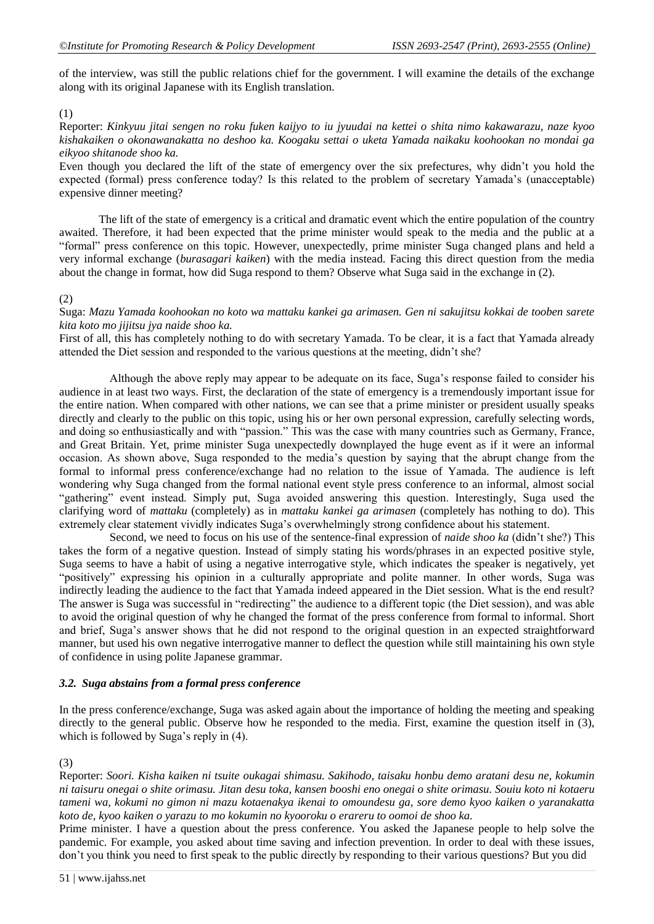of the interview, was still the public relations chief for the government. I will examine the details of the exchange along with its original Japanese with its English translation.

#### (1)

Reporter: *Kinkyuu jitai sengen no roku fuken kaijyo to iu jyuudai na kettei o shita nimo kakawarazu, naze kyoo kishakaiken o okonawanakatta no deshoo ka. Koogaku settai o uketa Yamada naikaku koohookan no mondai ga eikyoo shitanode shoo ka.*

Even though you declared the lift of the state of emergency over the six prefectures, why didn't you hold the expected (formal) press conference today? Is this related to the problem of secretary Yamada's (unacceptable) expensive dinner meeting?

The lift of the state of emergency is a critical and dramatic event which the entire population of the country awaited. Therefore, it had been expected that the prime minister would speak to the media and the public at a "formal" press conference on this topic. However, unexpectedly, prime minister Suga changed plans and held a very informal exchange (*burasagari kaiken*) with the media instead. Facing this direct question from the media about the change in format, how did Suga respond to them? Observe what Suga said in the exchange in (2).

#### (2)

Suga: *Mazu Yamada koohookan no koto wa mattaku kankei ga arimasen. Gen ni sakujitsu kokkai de tooben sarete kita koto mo jijitsu jya naide shoo ka.*

First of all, this has completely nothing to do with secretary Yamada. To be clear, it is a fact that Yamada already attended the Diet session and responded to the various questions at the meeting, didn't she?

Although the above reply may appear to be adequate on its face, Suga's response failed to consider his audience in at least two ways. First, the declaration of the state of emergency is a tremendously important issue for the entire nation. When compared with other nations, we can see that a prime minister or president usually speaks directly and clearly to the public on this topic, using his or her own personal expression, carefully selecting words, and doing so enthusiastically and with "passion." This was the case with many countries such as Germany, France, and Great Britain. Yet, prime minister Suga unexpectedly downplayed the huge event as if it were an informal occasion. As shown above, Suga responded to the media's question by saying that the abrupt change from the formal to informal press conference/exchange had no relation to the issue of Yamada. The audience is left wondering why Suga changed from the formal national event style press conference to an informal, almost social "gathering" event instead. Simply put, Suga avoided answering this question. Interestingly, Suga used the clarifying word of *mattaku* (completely) as in *mattaku kankei ga arimasen* (completely has nothing to do). This extremely clear statement vividly indicates Suga's overwhelmingly strong confidence about his statement.

Second, we need to focus on his use of the sentence-final expression of *naide shoo ka* (didn't she?) This takes the form of a negative question. Instead of simply stating his words/phrases in an expected positive style, Suga seems to have a habit of using a negative interrogative style, which indicates the speaker is negatively, yet "positively" expressing his opinion in a culturally appropriate and polite manner. In other words, Suga was indirectly leading the audience to the fact that Yamada indeed appeared in the Diet session. What is the end result? The answer is Suga was successful in "redirecting" the audience to a different topic (the Diet session), and was able to avoid the original question of why he changed the format of the press conference from formal to informal. Short and brief, Suga's answer shows that he did not respond to the original question in an expected straightforward manner, but used his own negative interrogative manner to deflect the question while still maintaining his own style of confidence in using polite Japanese grammar.

#### *3.2. Suga abstains from a formal press conference*

In the press conference/exchange, Suga was asked again about the importance of holding the meeting and speaking directly to the general public. Observe how he responded to the media. First, examine the question itself in (3), which is followed by Suga's reply in (4).

(3)

Reporter: *Soori. Kisha kaiken ni tsuite oukagai shimasu. Sakihodo, taisaku honbu demo aratani desu ne, kokumin ni taisuru onegai o shite orimasu. Jitan desu toka, kansen booshi eno onegai o shite orimasu. Souiu koto ni kotaeru tameni wa, kokumi no gimon ni mazu kotaenakya ikenai to omoundesu ga, sore demo kyoo kaiken o yaranakatta koto de, kyoo kaiken o yarazu to mo kokumin no kyooroku o erareru to oomoi de shoo ka.* 

Prime minister. I have a question about the press conference. You asked the Japanese people to help solve the pandemic. For example, you asked about time saving and infection prevention. In order to deal with these issues, don't you think you need to first speak to the public directly by responding to their various questions? But you did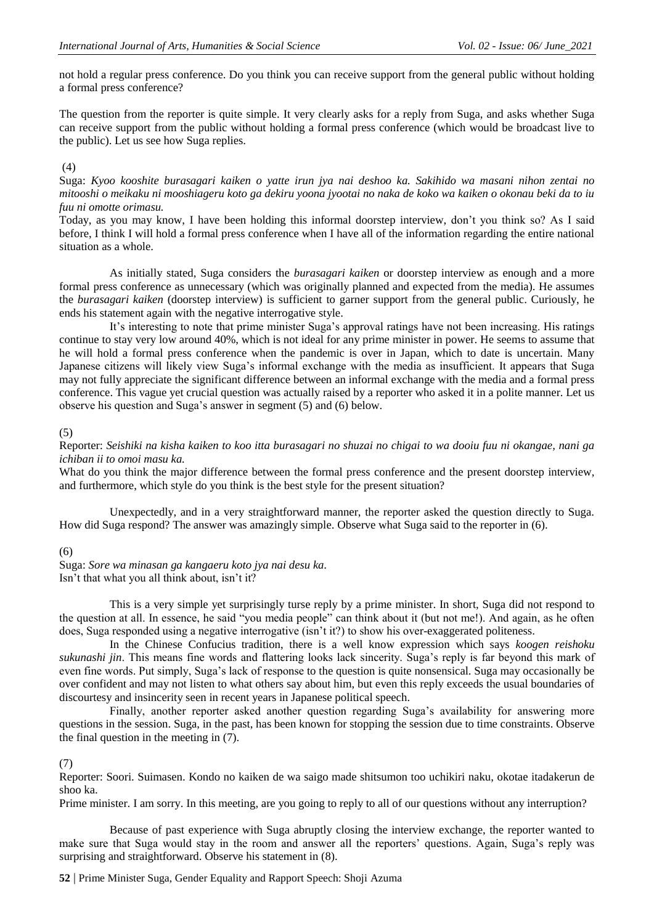not hold a regular press conference. Do you think you can receive support from the general public without holding a formal press conference?

The question from the reporter is quite simple. It very clearly asks for a reply from Suga, and asks whether Suga can receive support from the public without holding a formal press conference (which would be broadcast live to the public). Let us see how Suga replies.

#### (4)

Suga: *Kyoo kooshite burasagari kaiken o yatte irun jya nai deshoo ka. Sakihido wa masani nihon zentai no mitooshi o meikaku ni mooshiageru koto ga dekiru yoona jyootai no naka de koko wa kaiken o okonau beki da to iu fuu ni omotte orimasu.*

Today, as you may know, I have been holding this informal doorstep interview, don't you think so? As I said before, I think I will hold a formal press conference when I have all of the information regarding the entire national situation as a whole.

As initially stated, Suga considers the *burasagari kaiken* or doorstep interview as enough and a more formal press conference as unnecessary (which was originally planned and expected from the media). He assumes the *burasagari kaiken* (doorstep interview) is sufficient to garner support from the general public. Curiously, he ends his statement again with the negative interrogative style.

It's interesting to note that prime minister Suga's approval ratings have not been increasing. His ratings continue to stay very low around 40%, which is not ideal for any prime minister in power. He seems to assume that he will hold a formal press conference when the pandemic is over in Japan, which to date is uncertain. Many Japanese citizens will likely view Suga's informal exchange with the media as insufficient. It appears that Suga may not fully appreciate the significant difference between an informal exchange with the media and a formal press conference. This vague yet crucial question was actually raised by a reporter who asked it in a polite manner. Let us observe his question and Suga's answer in segment (5) and (6) below.

#### (5)

Reporter: *Seishiki na kisha kaiken to koo itta burasagari no shuzai no chigai to wa dooiu fuu ni okangae, nani ga ichiban ii to omoi masu ka.*

What do you think the major difference between the formal press conference and the present doorstep interview, and furthermore, which style do you think is the best style for the present situation?

Unexpectedly, and in a very straightforward manner, the reporter asked the question directly to Suga. How did Suga respond? The answer was amazingly simple. Observe what Suga said to the reporter in (6).

#### (6)

Suga: *Sore wa minasan ga kangaeru koto jya nai desu ka*. Isn't that what you all think about, isn't it?

This is a very simple yet surprisingly turse reply by a prime minister. In short, Suga did not respond to the question at all. In essence, he said "you media people" can think about it (but not me!). And again, as he often does, Suga responded using a negative interrogative (isn't it?) to show his over-exaggerated politeness.

In the Chinese Confucius tradition, there is a well know expression which says *koogen reishoku sukunashi jin*. This means fine words and flattering looks lack sincerity. Suga's reply is far beyond this mark of even fine words. Put simply, Suga's lack of response to the question is quite nonsensical. Suga may occasionally be over confident and may not listen to what others say about him, but even this reply exceeds the usual boundaries of discourtesy and insincerity seen in recent years in Japanese political speech.

Finally, another reporter asked another question regarding Suga's availability for answering more questions in the session. Suga, in the past, has been known for stopping the session due to time constraints. Observe the final question in the meeting in (7).

#### (7)

Reporter: Soori. Suimasen. Kondo no kaiken de wa saigo made shitsumon too uchikiri naku, okotae itadakerun de shoo ka.

Prime minister. I am sorry. In this meeting, are you going to reply to all of our questions without any interruption?

Because of past experience with Suga abruptly closing the interview exchange, the reporter wanted to make sure that Suga would stay in the room and answer all the reporters' questions. Again, Suga's reply was surprising and straightforward. Observe his statement in (8).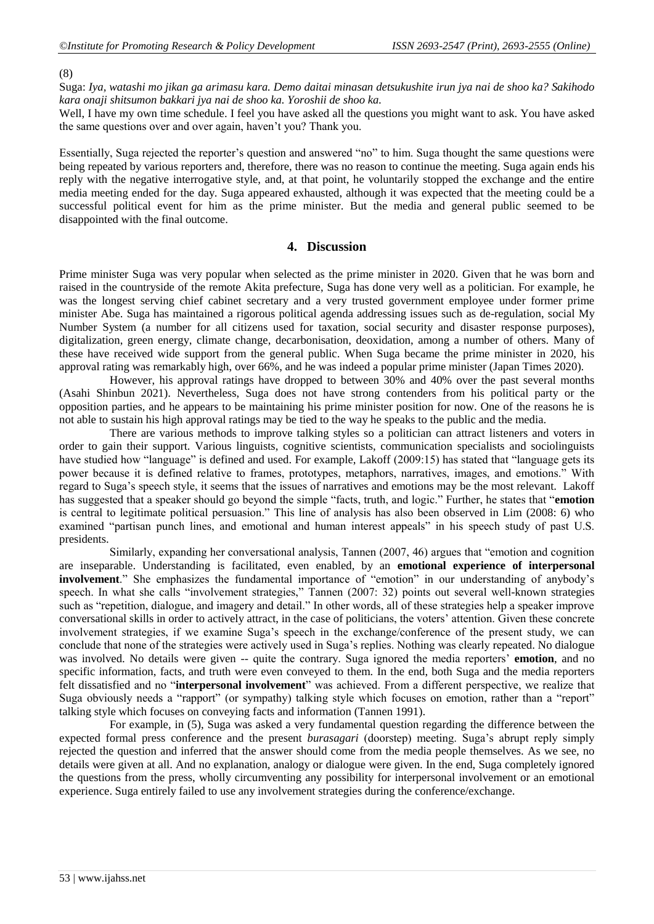#### (8)

Suga: *Iya, watashi mo jikan ga arimasu kara. Demo daitai minasan detsukushite irun jya nai de shoo ka? Sakihodo kara onaji shitsumon bakkari jya nai de shoo ka. Yoroshii de shoo ka.*

Well, I have my own time schedule. I feel you have asked all the questions you might want to ask. You have asked the same questions over and over again, haven't you? Thank you.

Essentially, Suga rejected the reporter's question and answered "no" to him. Suga thought the same questions were being repeated by various reporters and, therefore, there was no reason to continue the meeting. Suga again ends his reply with the negative interrogative style, and, at that point, he voluntarily stopped the exchange and the entire media meeting ended for the day. Suga appeared exhausted, although it was expected that the meeting could be a successful political event for him as the prime minister. But the media and general public seemed to be disappointed with the final outcome.

#### **4. Discussion**

Prime minister Suga was very popular when selected as the prime minister in 2020. Given that he was born and raised in the countryside of the remote Akita prefecture, Suga has done very well as a politician. For example, he was the longest serving chief cabinet secretary and a very trusted government employee under former prime minister Abe. Suga has maintained a rigorous political agenda addressing issues such as de-regulation, social My Number System (a number for all citizens used for taxation, social security and disaster response purposes), digitalization, green energy, climate change, decarbonisation, deoxidation, among a number of others. Many of these have received wide support from the general public. When Suga became the prime minister in 2020, his approval rating was remarkably high, over 66%, and he was indeed a popular prime minister (Japan Times 2020).

However, his approval ratings have dropped to between 30% and 40% over the past several months (Asahi Shinbun 2021). Nevertheless, Suga does not have strong contenders from his political party or the opposition parties, and he appears to be maintaining his prime minister position for now. One of the reasons he is not able to sustain his high approval ratings may be tied to the way he speaks to the public and the media.

There are various methods to improve talking styles so a politician can attract listeners and voters in order to gain their support. Various linguists, cognitive scientists, communication specialists and sociolinguists have studied how "language" is defined and used. For example, Lakoff (2009:15) has stated that "language gets its power because it is defined relative to frames, prototypes, metaphors, narratives, images, and emotions." With regard to Suga's speech style, it seems that the issues of narratives and emotions may be the most relevant. Lakoff has suggested that a speaker should go beyond the simple "facts, truth, and logic." Further, he states that "**emotion** is central to legitimate political persuasion." This line of analysis has also been observed in Lim (2008: 6) who examined "partisan punch lines, and emotional and human interest appeals" in his speech study of past U.S. presidents.

Similarly, expanding her conversational analysis, Tannen (2007, 46) argues that "emotion and cognition are inseparable. Understanding is facilitated, even enabled, by an **emotional experience of interpersonal involvement**." She emphasizes the fundamental importance of "emotion" in our understanding of anybody's speech. In what she calls "involvement strategies," Tannen (2007: 32) points out several well-known strategies such as "repetition, dialogue, and imagery and detail." In other words, all of these strategies help a speaker improve conversational skills in order to actively attract, in the case of politicians, the voters' attention. Given these concrete involvement strategies, if we examine Suga's speech in the exchange/conference of the present study, we can conclude that none of the strategies were actively used in Suga's replies. Nothing was clearly repeated. No dialogue was involved. No details were given -- quite the contrary. Suga ignored the media reporters' **emotion**, and no specific information, facts, and truth were even conveyed to them. In the end, both Suga and the media reporters felt dissatisfied and no "**interpersonal involvement**" was achieved. From a different perspective, we realize that Suga obviously needs a "rapport" (or sympathy) talking style which focuses on emotion, rather than a "report" talking style which focuses on conveying facts and information (Tannen 1991).

For example, in (5), Suga was asked a very fundamental question regarding the difference between the expected formal press conference and the present *burasagari* (doorstep) meeting. Suga's abrupt reply simply rejected the question and inferred that the answer should come from the media people themselves. As we see, no details were given at all. And no explanation, analogy or dialogue were given. In the end, Suga completely ignored the questions from the press, wholly circumventing any possibility for interpersonal involvement or an emotional experience. Suga entirely failed to use any involvement strategies during the conference/exchange.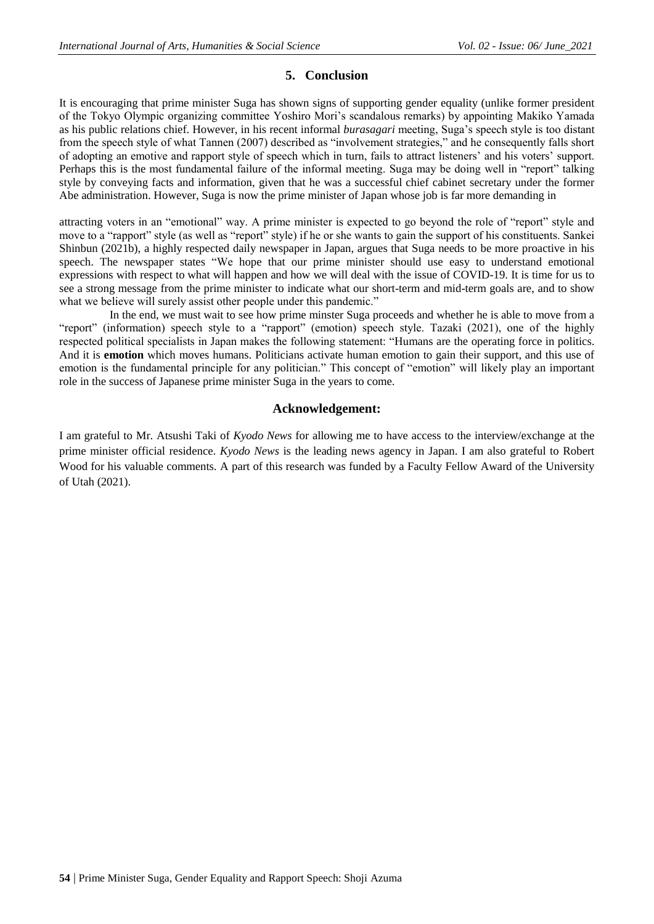## **5. Conclusion**

It is encouraging that prime minister Suga has shown signs of supporting gender equality (unlike former president of the Tokyo Olympic organizing committee Yoshiro Mori's scandalous remarks) by appointing Makiko Yamada as his public relations chief. However, in his recent informal *burasagari* meeting, Suga's speech style is too distant from the speech style of what Tannen (2007) described as "involvement strategies," and he consequently falls short of adopting an emotive and rapport style of speech which in turn, fails to attract listeners' and his voters' support. Perhaps this is the most fundamental failure of the informal meeting. Suga may be doing well in "report" talking style by conveying facts and information, given that he was a successful chief cabinet secretary under the former Abe administration. However, Suga is now the prime minister of Japan whose job is far more demanding in

attracting voters in an "emotional" way. A prime minister is expected to go beyond the role of "report" style and move to a "rapport" style (as well as "report" style) if he or she wants to gain the support of his constituents. Sankei Shinbun (2021b), a highly respected daily newspaper in Japan, argues that Suga needs to be more proactive in his speech. The newspaper states "We hope that our prime minister should use easy to understand emotional expressions with respect to what will happen and how we will deal with the issue of COVID-19. It is time for us to see a strong message from the prime minister to indicate what our short-term and mid-term goals are, and to show what we believe will surely assist other people under this pandemic."

In the end, we must wait to see how prime minster Suga proceeds and whether he is able to move from a "report" (information) speech style to a "rapport" (emotion) speech style. Tazaki (2021), one of the highly respected political specialists in Japan makes the following statement: "Humans are the operating force in politics. And it is **emotion** which moves humans. Politicians activate human emotion to gain their support, and this use of emotion is the fundamental principle for any politician." This concept of "emotion" will likely play an important role in the success of Japanese prime minister Suga in the years to come.

### **Acknowledgement:**

I am grateful to Mr. Atsushi Taki of *Kyodo News* for allowing me to have access to the interview/exchange at the prime minister official residence. *Kyodo News* is the leading news agency in Japan. I am also grateful to Robert Wood for his valuable comments. A part of this research was funded by a Faculty Fellow Award of the University of Utah (2021).